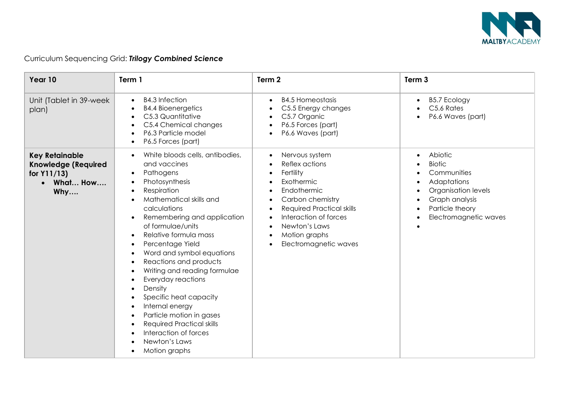

| Year 10                                                                               | Term 1                                                                                                                                                                                                                                                                                                                                                                                                                                                                                                                                                                           | Term 2                                                                                                                                                                                                                 | Term <sub>3</sub>                                                                                                                                        |
|---------------------------------------------------------------------------------------|----------------------------------------------------------------------------------------------------------------------------------------------------------------------------------------------------------------------------------------------------------------------------------------------------------------------------------------------------------------------------------------------------------------------------------------------------------------------------------------------------------------------------------------------------------------------------------|------------------------------------------------------------------------------------------------------------------------------------------------------------------------------------------------------------------------|----------------------------------------------------------------------------------------------------------------------------------------------------------|
| Unit (Tablet in 39-week)<br>plan)                                                     | <b>B4.3 Infection</b><br><b>B4.4 Bioenergetics</b><br>C5.3 Quantitative<br>C5.4 Chemical changes<br>P6.3 Particle model<br>P6.5 Forces (part)                                                                                                                                                                                                                                                                                                                                                                                                                                    | <b>B4.5 Homeostasis</b><br>C5.5 Energy changes<br>C5.7 Organic<br>P6.5 Forces (part)<br>P6.6 Waves (part)                                                                                                              | <b>B5.7 Ecology</b><br>$\bullet$<br>C5.6 Rates<br>P6.6 Waves (part)                                                                                      |
| <b>Key Retainable</b><br><b>Knowledge (Required</b><br>for Y11/13)<br>What How<br>Why | White bloods cells, antibodies,<br>and vaccines<br>Pathogens<br>$\bullet$<br>Photosynthesis<br>Respiration<br>Mathematical skills and<br>calculations<br>Remembering and application<br>of formulae/units<br>Relative formula mass<br>Percentage Yield<br>Word and symbol equations<br>Reactions and products<br>$\bullet$<br>Writing and reading formulae<br>Everyday reactions<br>Density<br>Specific heat capacity<br>Internal energy<br>Particle motion in gases<br>$\bullet$<br><b>Required Practical skills</b><br>Interaction of forces<br>Newton's Laws<br>Motion graphs | Nervous system<br>Reflex actions<br>Fertility<br>Exothermic<br>Endothermic<br>Carbon chemistry<br><b>Required Practical skills</b><br>Interaction of forces<br>Newton's Laws<br>Motion graphs<br>Electromagnetic waves | Abiotic<br><b>Biotic</b><br>Communities<br>Adaptations<br>Organisation levels<br>Graph analysis<br>Particle theory<br>$\bullet$<br>Electromagnetic waves |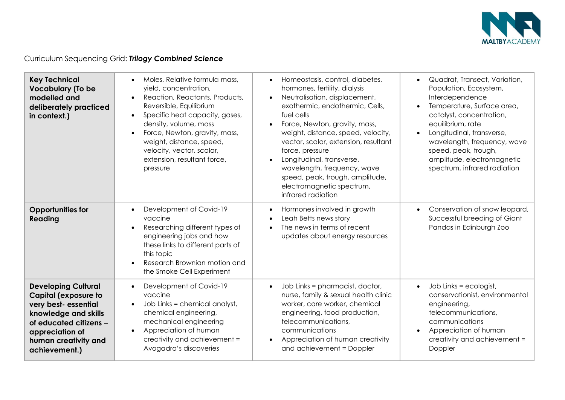

| <b>Key Technical</b><br><b>Vocabulary (To be</b><br>modelled and<br>deliberately practiced<br>in context.)                                                                                      | Moles, Relative formula mass,<br>yield, concentration,<br>Reaction, Reactants, Products,<br>Reversible, Equilibrium<br>Specific heat capacity, gases,<br>$\bullet$<br>density, volume, mass<br>Force, Newton, gravity, mass,<br>weight, distance, speed,<br>velocity, vector, scalar,<br>extension, resultant force,<br>pressure | Homeostasis, control, diabetes,<br>$\bullet$<br>hormones, fertility, dialysis<br>Neutralisation, displacement,<br>exothermic, endothermic, Cells,<br>fuel cells<br>Force, Newton, gravity, mass,<br>$\bullet$<br>weight, distance, speed, velocity,<br>vector, scalar, extension, resultant<br>force, pressure<br>Longitudinal, transverse,<br>wavelength, frequency, wave<br>speed, peak, trough, amplitude,<br>electromagnetic spectrum,<br>infrared radiation | Quadrat, Transect, Variation,<br>$\bullet$<br>Population, Ecosystem,<br>Interdependence<br>Temperature, Surface area,<br>catalyst, concentration,<br>equilibrium, rate<br>Longitudinal, transverse,<br>wavelength, frequency, wave<br>speed, peak, trough,<br>amplitude, electromagnetic<br>spectrum, infrared radiation |
|-------------------------------------------------------------------------------------------------------------------------------------------------------------------------------------------------|----------------------------------------------------------------------------------------------------------------------------------------------------------------------------------------------------------------------------------------------------------------------------------------------------------------------------------|------------------------------------------------------------------------------------------------------------------------------------------------------------------------------------------------------------------------------------------------------------------------------------------------------------------------------------------------------------------------------------------------------------------------------------------------------------------|--------------------------------------------------------------------------------------------------------------------------------------------------------------------------------------------------------------------------------------------------------------------------------------------------------------------------|
| <b>Opportunities for</b><br>Reading                                                                                                                                                             | Development of Covid-19<br>vaccine<br>Researching different types of<br>engineering jobs and how<br>these links to different parts of<br>this topic<br>Research Brownian motion and<br>the Smoke Cell Experiment                                                                                                                 | Hormones involved in growth<br>Leah Betts news story<br>The news in terms of recent<br>updates about energy resources                                                                                                                                                                                                                                                                                                                                            | Conservation of snow leopard,<br>$\bullet$<br>Successful breeding of Giant<br>Pandas in Edinburgh Zoo                                                                                                                                                                                                                    |
| <b>Developing Cultural</b><br><b>Capital (exposure to</b><br>very best- essential<br>knowledge and skills<br>of educated citizens -<br>appreciation of<br>human creativity and<br>achievement.) | Development of Covid-19<br>vaccine<br>Job Links = chemical analyst,<br>chemical engineering,<br>mechanical engineering<br>Appreciation of human<br>creativity and achievement =<br>Avogadro's discoveries                                                                                                                        | Job Links = pharmacist, doctor,<br>$\bullet$<br>nurse, family & sexual health clinic<br>worker, care worker, chemical<br>engineering, food production,<br>telecommunications,<br>communications<br>Appreciation of human creativity<br>$\bullet$<br>and achievement = Doppler                                                                                                                                                                                    | Job Links = ecologist,<br>$\bullet$<br>conservationist, environmental<br>engineering,<br>telecommunications,<br>communications<br>Appreciation of human<br>$\bullet$<br>creativity and achievement =<br>Doppler                                                                                                          |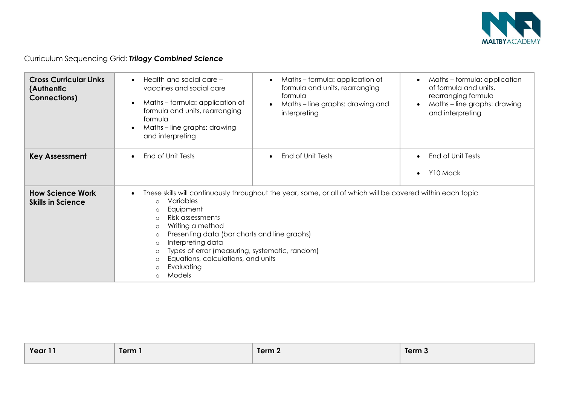

| <b>Cross Curricular Links</b><br>(Authentic<br><b>Connections)</b> | Health and social care -<br>vaccines and social care<br>Maths - formula: application of<br>formula and units, rearranging<br>formula<br>Maths - line graphs: drawing<br>and interpreting                                                                                                                                                                                                                                                                                    | Maths - formula: application of<br>$\bullet$<br>formula and units, rearranging<br>formula<br>Maths - line graphs: drawing and<br>interpreting | Maths - formula: application<br>of formula and units,<br>rearranging formula<br>Maths - line graphs: drawing<br>and interpreting |
|--------------------------------------------------------------------|-----------------------------------------------------------------------------------------------------------------------------------------------------------------------------------------------------------------------------------------------------------------------------------------------------------------------------------------------------------------------------------------------------------------------------------------------------------------------------|-----------------------------------------------------------------------------------------------------------------------------------------------|----------------------------------------------------------------------------------------------------------------------------------|
| <b>Key Assessment</b>                                              | End of Unit Tests                                                                                                                                                                                                                                                                                                                                                                                                                                                           | End of Unit Tests                                                                                                                             | End of Unit Tests<br>Y10 Mock                                                                                                    |
| <b>How Science Work</b><br><b>Skills in Science</b>                | These skills will continuously throughout the year, some, or all of which will be covered within each topic<br>Variables<br>$\circ$<br>Equipment<br>$\circ$<br>Risk assessments<br>$\Omega$<br>Writing a method<br>$\circ$<br>Presenting data (bar charts and line graphs)<br>$\circ$<br>Interpreting data<br>$\circ$<br>Types of error (measuring, systematic, random)<br>$\circ$<br>Equations, calculations, and units<br>$\circ$<br>Evaluating<br>$\circ$<br>Models<br>∩ |                                                                                                                                               |                                                                                                                                  |

| Year 11<br>Term 1 | Term $\sim$ | Term 3 |
|-------------------|-------------|--------|
|-------------------|-------------|--------|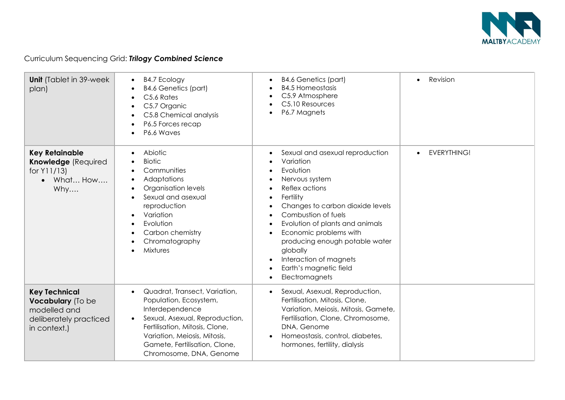

| <b>Unit</b> (Tablet in 39-week)<br>plan)                                                            | <b>B4.7 Ecology</b><br>$\bullet$<br><b>B4.6 Genetics (part)</b><br>C5.6 Rates<br>C5.7 Organic<br>C5.8 Chemical analysis<br>P6.5 Forces recap<br>P6.6 Waves                                                                                 | <b>B4.6 Genetics (part)</b><br><b>B4.5 Homeostasis</b><br>C5.9 Atmosphere<br>C5.10 Resources<br>P6.7 Magnets                                                                                                                                                                                                                                                        | Revision<br>$\bullet$ |
|-----------------------------------------------------------------------------------------------------|--------------------------------------------------------------------------------------------------------------------------------------------------------------------------------------------------------------------------------------------|---------------------------------------------------------------------------------------------------------------------------------------------------------------------------------------------------------------------------------------------------------------------------------------------------------------------------------------------------------------------|-----------------------|
| <b>Key Retainable</b><br><b>Knowledge (Required</b><br>for Y11/13)<br>What How<br>$\bullet$<br>Why  | Abiotic<br><b>Biotic</b><br>Communities<br>Adaptations<br>Organisation levels<br>Sexual and asexual<br>reproduction<br>Variation<br>Evolution<br>Carbon chemistry<br>Chromatography<br><b>Mixtures</b>                                     | Sexual and asexual reproduction<br>Variation<br>Evolution<br>Nervous system<br>Reflex actions<br>Fertility<br>Changes to carbon dioxide levels<br>Combustion of fuels<br>Evolution of plants and animals<br>Economic problems with<br>$\bullet$<br>producing enough potable water<br>globally<br>Interaction of magnets<br>Earth's magnetic field<br>Electromagnets | <b>EVERYTHING!</b>    |
| <b>Key Technical</b><br>Vocabulary (To be<br>modelled and<br>deliberately practiced<br>in context.) | Quadrat, Transect, Variation,<br>Population, Ecosystem,<br>Interdependence<br>Sexual, Asexual, Reproduction,<br>Fertilisation, Mitosis, Clone,<br>Variation, Meiosis, Mitosis,<br>Gamete, Fertilisation, Clone,<br>Chromosome, DNA, Genome | Sexual, Asexual, Reproduction,<br>$\bullet$<br>Fertilisation, Mitosis, Clone,<br>Variation, Meiosis, Mitosis, Gamete,<br>Fertilisation, Clone, Chromosome,<br>DNA, Genome<br>Homeostasis, control, diabetes,<br>hormones, fertility, dialysis                                                                                                                       |                       |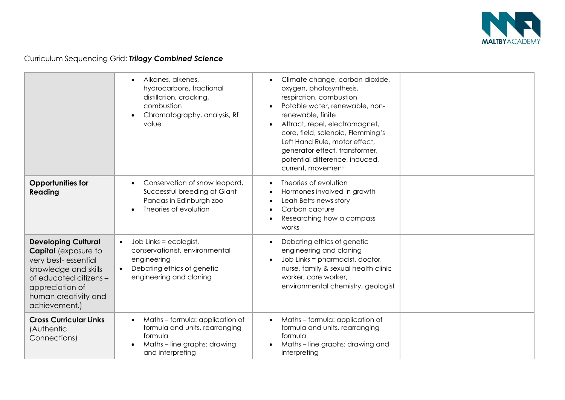

|                                                                                                                                                                                                | Alkanes, alkenes,<br>hydrocarbons, fractional<br>distillation, cracking,<br>combustion<br>Chromatography, analysis, Rf<br>value                            | Climate change, carbon dioxide,<br>oxygen, photosynthesis,<br>respiration, combustion<br>Potable water, renewable, non-<br>renewable, finite<br>Attract, repel, electromagnet,<br>$\bullet$<br>core, field, solenoid, Flemming's<br>Left Hand Rule, motor effect,<br>generator effect, transformer,<br>potential difference, induced,<br>current, movement |  |
|------------------------------------------------------------------------------------------------------------------------------------------------------------------------------------------------|------------------------------------------------------------------------------------------------------------------------------------------------------------|------------------------------------------------------------------------------------------------------------------------------------------------------------------------------------------------------------------------------------------------------------------------------------------------------------------------------------------------------------|--|
| <b>Opportunities for</b><br>Reading                                                                                                                                                            | Conservation of snow leopard,<br>Successful breeding of Giant<br>Pandas in Edinburgh zoo<br>Theories of evolution                                          | Theories of evolution<br>Hormones involved in growth<br>Leah Betts news story<br>$\bullet$<br>Carbon capture<br>$\bullet$<br>Researching how a compass<br>works                                                                                                                                                                                            |  |
| <b>Developing Cultural</b><br><b>Capital</b> (exposure to<br>very best-essential<br>knowledge and skills<br>of educated citizens -<br>appreciation of<br>human creativity and<br>achievement.) | Job Links = ecologist,<br>$\bullet$<br>conservationist, environmental<br>engineering<br>Debating ethics of genetic<br>$\bullet$<br>engineering and cloning | Debating ethics of genetic<br>engineering and cloning<br>Job Links = pharmacist, doctor,<br>nurse, family & sexual health clinic<br>worker, care worker,<br>environmental chemistry, geologist                                                                                                                                                             |  |
| <b>Cross Curricular Links</b><br>(Authentic<br>Connections)                                                                                                                                    | Maths - formula: application of<br>formula and units, rearranging<br>formula<br>Maths - line graphs: drawing<br>and interpreting                           | Maths - formula: application of<br>$\bullet$<br>formula and units, rearranging<br>formula<br>Maths - line graphs: drawing and<br>interpreting                                                                                                                                                                                                              |  |